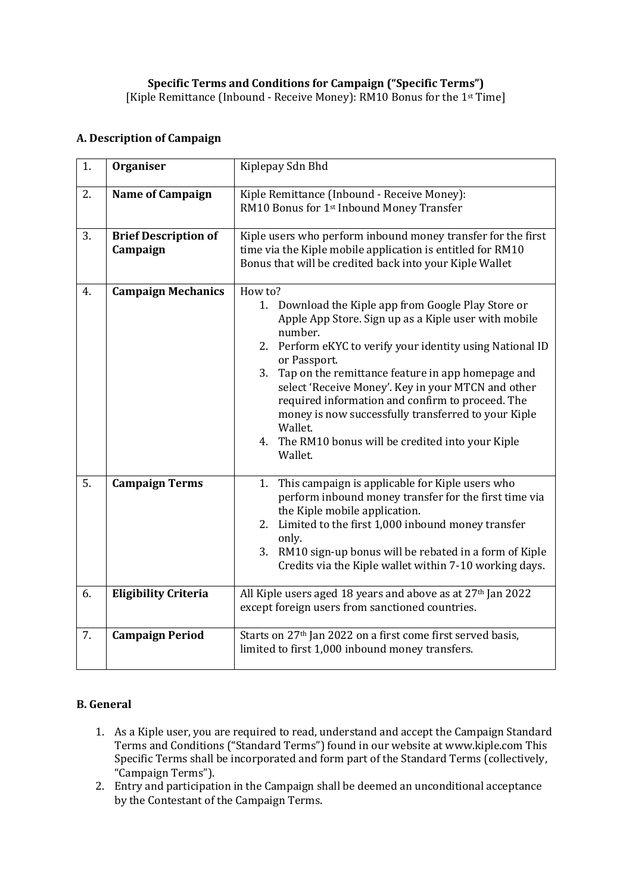## **A. Description of Campaign**

| 1. | Organiser                               | Kiplepay Sdn Bhd                                                                                                                                                                                                                                                                                                                                                                                                                                                                                                    |
|----|-----------------------------------------|---------------------------------------------------------------------------------------------------------------------------------------------------------------------------------------------------------------------------------------------------------------------------------------------------------------------------------------------------------------------------------------------------------------------------------------------------------------------------------------------------------------------|
| 2. | <b>Name of Campaign</b>                 | Kiple Remittance (Inbound - Receive Money):<br>RM10 Bonus for 1st Inbound Money Transfer                                                                                                                                                                                                                                                                                                                                                                                                                            |
| 3. | <b>Brief Description of</b><br>Campaign | Kiple users who perform inbound money transfer for the first<br>time via the Kiple mobile application is entitled for RM10<br>Bonus that will be credited back into your Kiple Wallet                                                                                                                                                                                                                                                                                                                               |
| 4. | <b>Campaign Mechanics</b>               | How to?<br>1. Download the Kiple app from Google Play Store or<br>Apple App Store. Sign up as a Kiple user with mobile<br>number.<br>2. Perform eKYC to verify your identity using National ID<br>or Passport.<br>3. Tap on the remittance feature in app homepage and<br>select 'Receive Money'. Key in your MTCN and other<br>required information and confirm to proceed. The<br>money is now successfully transferred to your Kiple<br>Wallet.<br>4. The RM10 bonus will be credited into your Kiple<br>Wallet. |
| 5. | <b>Campaign Terms</b>                   | 1. This campaign is applicable for Kiple users who<br>perform inbound money transfer for the first time via<br>the Kiple mobile application.<br>2. Limited to the first 1,000 inbound money transfer<br>only.<br>3. RM10 sign-up bonus will be rebated in a form of Kiple<br>Credits via the Kiple wallet within 7-10 working days.                                                                                                                                                                                 |
| 6. | <b>Eligibility Criteria</b>             | All Kiple users aged 18 years and above as at 27th Jan 2022<br>except foreign users from sanctioned countries.                                                                                                                                                                                                                                                                                                                                                                                                      |
| 7. | <b>Campaign Period</b>                  | Starts on 27 <sup>th</sup> Jan 2022 on a first come first served basis,<br>limited to first 1,000 inbound money transfers.                                                                                                                                                                                                                                                                                                                                                                                          |

## **B. General**

- 1. As a Kiple user, you are required to read, understand and accept the Campaign Standard Terms and Conditions ("Standard Terms") found in our website at www.kiple.com This Specific Terms shall be incorporated and form part of the Standard Terms (collectively, "Campaign Terms").
- 2. Entry and participation in the Campaign shall be deemed an unconditional acceptance by the Contestant of the Campaign Terms.